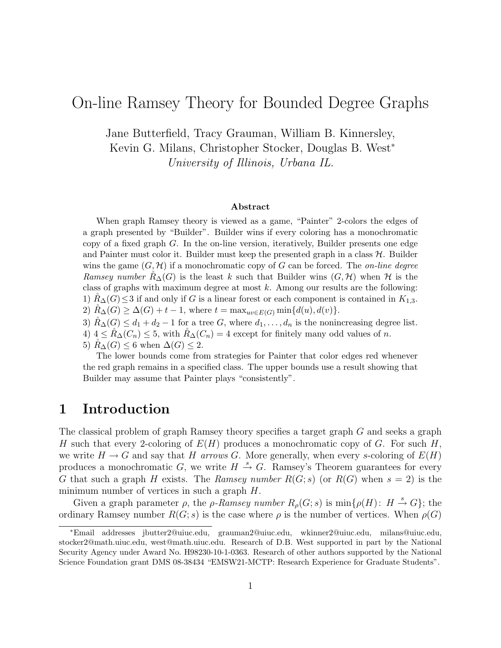# On-line Ramsey Theory for Bounded Degree Graphs

Jane Butterfield, Tracy Grauman, William B. Kinnersley, Kevin G. Milans, Christopher Stocker, Douglas B. West<sup>∗</sup> University of Illinois, Urbana IL.

#### Abstract

When graph Ramsey theory is viewed as a game, "Painter" 2-colors the edges of a graph presented by "Builder". Builder wins if every coloring has a monochromatic copy of a fixed graph  $G$ . In the on-line version, iteratively, Builder presents one edge and Painter must color it. Builder must keep the presented graph in a class  $\mathcal{H}$ . Builder wins the game  $(G, \mathcal{H})$  if a monochromatic copy of G can be forced. The *on-line degree* Ramsey number  $R_{\Delta}(G)$  is the least k such that Builder wins  $(G, \mathcal{H})$  when H is the class of graphs with maximum degree at most  $k$ . Among our results are the following: 1)  $R_{\Delta}(G) \leq 3$  if and only if G is a linear forest or each component is contained in  $K_{1,3}$ . 2)  $R_{\Delta}(G) \geq \Delta(G) + t - 1$ , where  $t = \max_{uv \in E(G)} \min\{d(u), d(v)\}.$ 

- 3)  $\tilde{R}_{\Delta}(G) \leq d_1 + d_2 1$  for a tree G, where  $d_1, \ldots, d_n$  is the nonincreasing degree list.
- 4)  $4 \leq R_{\Delta}(C_n) \leq 5$ , with  $R_{\Delta}(C_n) = 4$  except for finitely many odd values of n.
- 5)  $R_{\Delta}(G) \leq 6$  when  $\Delta(G) \leq 2$ .

The lower bounds come from strategies for Painter that color edges red whenever the red graph remains in a specified class. The upper bounds use a result showing that Builder may assume that Painter plays "consistently".

### 1 Introduction

The classical problem of graph Ramsey theory specifies a target graph G and seeks a graph H such that every 2-coloring of  $E(H)$  produces a monochromatic copy of G. For such H, we write  $H \to G$  and say that H arrows G. More generally, when every s-coloring of  $E(H)$ produces a monochromatic G, we write  $H \stackrel{s}{\rightarrow} G$ . Ramsey's Theorem guarantees for every G that such a graph H exists. The Ramsey number  $R(G; s)$  (or  $R(G)$  when  $s = 2$ ) is the minimum number of vertices in such a graph H.

Given a graph parameter  $\rho$ , the  $\rho$ -Ramsey number  $R_{\rho}(G; s)$  is  $\min\{\rho(H): H \stackrel{s}{\rightarrow} G\}$ ; the ordinary Ramsey number  $R(G; s)$  is the case where  $\rho$  is the number of vertices. When  $\rho(G)$ 

<sup>∗</sup>Email addresses jbutter2@uiuc.edu, grauman2@uiuc.edu, wkinner2@uiuc.edu, milans@uiuc.edu, stocker2@math.uiuc.edu, west@math.uiuc.edu. Research of D.B. West supported in part by the National Security Agency under Award No. H98230-10-1-0363. Research of other authors supported by the National Science Foundation grant DMS 08-38434 "EMSW21-MCTP: Research Experience for Graduate Students".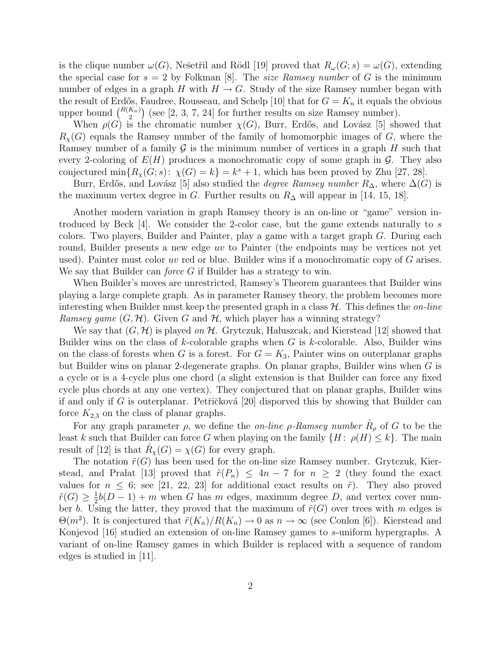is the clique number  $\omega(G)$ , Nešetřil and Rödl [19] proved that  $R_{\omega}(G; s) = \omega(G)$ , extending the special case for  $s = 2$  by Folkman [8]. The size Ramsey number of G is the minimum number of edges in a graph H with  $H \to G$ . Study of the size Ramsey number began with the result of Erdős, Faudree, Rousseau, and Schelp [10] that for  $G = K_n$  it equals the obvious upper bound  $\binom{R(K_n)}{2}$  (see [2, 3, 7, 24] for further results on size Ramsey number).

When  $\rho(G)$  is the chromatic number  $\chi(G)$ , Burr, Erdős, and Lovász [5] showed that  $R_{\chi}(G)$  equals the Ramsey number of the family of homomorphic images of G, where the Ramsey number of a family  $\mathcal G$  is the minimum number of vertices in a graph  $H$  such that every 2-coloring of  $E(H)$  produces a monochromatic copy of some graph in  $\mathcal{G}$ . They also conjectured  $\min\{R_\chi(G; s): \chi(G) = k\} = k^s + 1$ , which has been proved by Zhu [27, 28].

Burr, Erdős, and Lovász [5] also studied the *degree Ramsey number*  $R_{\Delta}$ , where  $\Delta(G)$  is the maximum vertex degree in G. Further results on  $R_{\Delta}$  will appear in [14, 15, 18].

Another modern variation in graph Ramsey theory is an on-line or "game" version introduced by Beck [4]. We consider the 2-color case, but the game extends naturally to s colors. Two players, Builder and Painter, play a game with a target graph  $G$ . During each round, Builder presents a new edge uv to Painter (the endpoints may be vertices not yet used). Painter must color uv red or blue. Builder wins if a monochromatic copy of  $G$  arises. We say that Builder can *force* G if Builder has a strategy to win.

When Builder's moves are unrestricted, Ramsey's Theorem guarantees that Builder wins playing a large complete graph. As in parameter Ramsey theory, the problem becomes more interesting when Builder must keep the presented graph in a class  $\mathcal{H}$ . This defines the *on-line* Ramsey game  $(G, \mathcal{H})$ . Given G and  $\mathcal{H}$ , which player has a winning strategy?

We say that  $(G, \mathcal{H})$  is played on  $\mathcal{H}$ . Grytczuk, Hałuszcak, and Kierstead [12] showed that Builder wins on the class of  $k$ -colorable graphs when  $G$  is  $k$ -colorable. Also, Builder wins on the class of forests when G is a forest. For  $G = K_3$ , Painter wins on outerplanar graphs but Builder wins on planar 2-degenerate graphs. On planar graphs, Builder wins when G is a cycle or is a 4-cycle plus one chord (a slight extension is that Builder can force any fixed cycle plus chords at any one vertex). They conjectured that on planar graphs, Builder wins if and only if G is outerplanar. Petřičková [20] disporved this by showing that Builder can force  $K_{2,3}$  on the class of planar graphs.

For any graph parameter  $\rho$ , we define the *on-line*  $\rho$ -Ramsey number  $R_{\rho}$  of G to be the least k such that Builder can force G when playing on the family  $\{H: \rho(H) \leq k\}$ . The main result of [12] is that  $R_\chi(G) = \chi(G)$  for every graph.

The notation  $\tilde{r}(G)$  has been used for the on-line size Ramsey number. Grytczuk, Kierstead, and Pra $at \ [13]$  proved that  $\tilde{r}(P_n) \leq 4n-7$  for  $n \geq 2$  (they found the exact values for  $n \leq 6$ ; see [21, 22, 23] for additional exact results on  $\tilde{r}$ ). They also proved  $\tilde{r}(G) \geq \frac{1}{2}$  $\frac{1}{2}b(D-1) + m$  when G has m edges, maximum degree D, and vertex cover number b. Using the latter, they proved that the maximum of  $\tilde{r}(G)$  over trees with m edges is  $\Theta(m^2)$ . It is conjectured that  $\tilde{r}(K_n)/R(K_n) \to 0$  as  $n \to \infty$  (see Conlon [6]). Kierstead and Konjevod [16] studied an extension of on-line Ramsey games to s-uniform hypergraphs. A variant of on-line Ramsey games in which Builder is replaced with a sequence of random edges is studied in [11].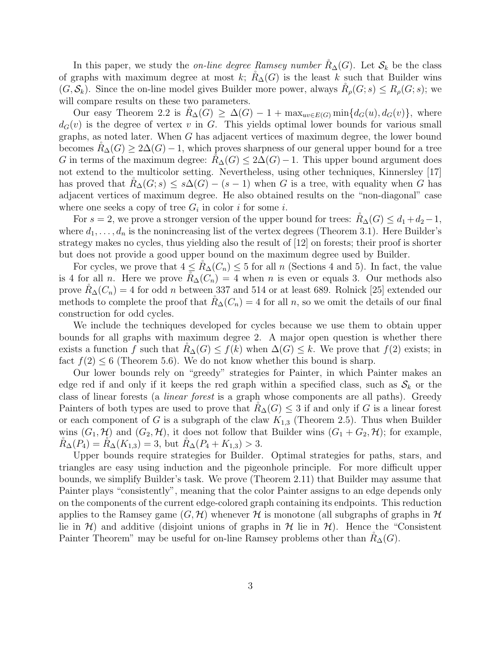In this paper, we study the *on-line degree Ramsey number*  $R_{\Delta}(G)$ . Let  $S_k$  be the class of graphs with maximum degree at most k;  $R_{\Delta}(G)$  is the least k such that Builder wins  $(G, \mathcal{S}_k)$ . Since the on-line model gives Builder more power, always  $R_\rho(G; s) \le R_\rho(G; s)$ ; we will compare results on these two parameters.

Our easy Theorem 2.2 is  $R_{\Delta}(G) \geq \Delta(G) - 1 + \max_{uv \in E(G)} \min\{d_G(u), d_G(v)\}\text{, where}$  $d_G(v)$  is the degree of vertex v in G. This yields optimal lower bounds for various small graphs, as noted later. When G has adjacent vertices of maximum degree, the lower bound becomes  $R_{\Delta}(G) \geq 2\Delta(G) - 1$ , which proves sharpness of our general upper bound for a tree G in terms of the maximum degree:  $R_{\Delta}(G) \leq 2\Delta(G) - 1$ . This upper bound argument does not extend to the multicolor setting. Nevertheless, using other techniques, Kinnersley [17] has proved that  $R_{\Delta}(G; s) \leq s\Delta(G) - (s-1)$  when G is a tree, with equality when G has adjacent vertices of maximum degree. He also obtained results on the "non-diagonal" case where one seeks a copy of tree  $G_i$  in color i for some i.

For  $s = 2$ , we prove a stronger version of the upper bound for trees:  $R_{\Delta}(G) \leq d_1 + d_2 - 1$ , where  $d_1, \ldots, d_n$  is the nonincreasing list of the vertex degrees (Theorem 3.1). Here Builder's strategy makes no cycles, thus yielding also the result of [12] on forests; their proof is shorter but does not provide a good upper bound on the maximum degree used by Builder.

For cycles, we prove that  $4 \leq R_{\Delta}(C_n) \leq 5$  for all n (Sections 4 and 5). In fact, the value is 4 for all *n*. Here we prove  $R_{\Delta}(C_n) = 4$  when *n* is even or equals 3. Our methods also prove  $R_{\Delta}(C_n) = 4$  for odd *n* between 337 and 514 or at least 689. Rolnick [25] extended our methods to complete the proof that  $R_{\Delta}(C_n) = 4$  for all n, so we omit the details of our final construction for odd cycles.

We include the techniques developed for cycles because we use them to obtain upper bounds for all graphs with maximum degree 2. A major open question is whether there exists a function f such that  $R_{\Delta}(G) \leq f(k)$  when  $\Delta(G) \leq k$ . We prove that  $f(2)$  exists; in fact  $f(2) \le 6$  (Theorem 5.6). We do not know whether this bound is sharp.

Our lower bounds rely on "greedy" strategies for Painter, in which Painter makes an edge red if and only if it keeps the red graph within a specified class, such as  $S_k$  or the class of linear forests (a linear forest is a graph whose components are all paths). Greedy Painters of both types are used to prove that  $R_{\Delta}(G) \leq 3$  if and only if G is a linear forest or each component of G is a subgraph of the claw  $K_{1,3}$  (Theorem 2.5). Thus when Builder wins  $(G_1, \mathcal{H})$  and  $(G_2, \mathcal{H})$ , it does not follow that Builder wins  $(G_1 + G_2, \mathcal{H})$ ; for example,  $R_{\Delta}(P_4) = R_{\Delta}(K_{1,3}) = 3$ , but  $R_{\Delta}(P_4 + K_{1,3}) > 3$ .

Upper bounds require strategies for Builder. Optimal strategies for paths, stars, and triangles are easy using induction and the pigeonhole principle. For more difficult upper bounds, we simplify Builder's task. We prove (Theorem 2.11) that Builder may assume that Painter plays "consistently", meaning that the color Painter assigns to an edge depends only on the components of the current edge-colored graph containing its endpoints. This reduction applies to the Ramsey game  $(G, \mathcal{H})$  whenever H is monotone (all subgraphs of graphs in H lie in H) and additive (disjoint unions of graphs in H lie in H). Hence the "Consistent Painter Theorem" may be useful for on-line Ramsey problems other than  $R_{\Delta}(G)$ .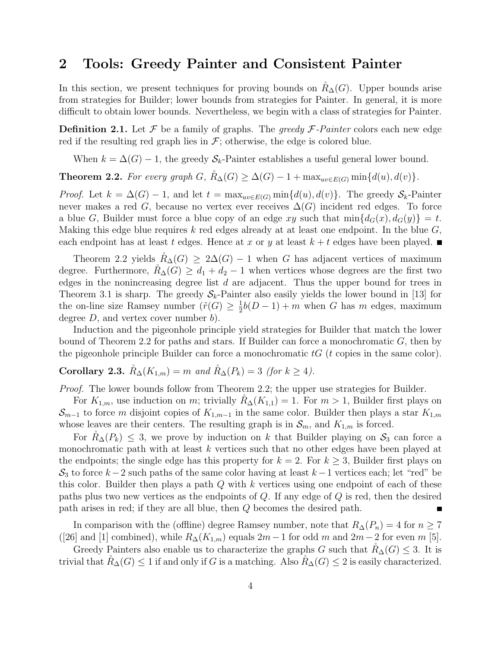### 2 Tools: Greedy Painter and Consistent Painter

In this section, we present techniques for proving bounds on  $R<sub>∆</sub>(G)$ . Upper bounds arise from strategies for Builder; lower bounds from strategies for Painter. In general, it is more difficult to obtain lower bounds. Nevertheless, we begin with a class of strategies for Painter.

**Definition 2.1.** Let  $\mathcal F$  be a family of graphs. The greedy  $\mathcal F$ -Painter colors each new edge red if the resulting red graph lies in  $\mathcal{F}$ ; otherwise, the edge is colored blue.

When  $k = \Delta(G) - 1$ , the greedy  $S_k$ -Painter establishes a useful general lower bound.

**Theorem 2.2.** For every graph G,  $\mathring{R}_{\Delta}(G) \geq \Delta(G) - 1 + \max_{uv \in E(G)} \min\{d(u), d(v)\}.$ 

*Proof.* Let  $k = \Delta(G) - 1$ , and let  $t = \max_{uv \in E(G)} \min\{d(u), d(v)\}\)$ . The greedy  $S_k$ -Painter never makes a red G, because no vertex ever receives  $\Delta(G)$  incident red edges. To force a blue G, Builder must force a blue copy of an edge xy such that  $\min\{d_G(x),d_G(y)\}=t$ . Making this edge blue requires k red edges already at at least one endpoint. In the blue  $G$ , each endpoint has at least t edges. Hence at x or y at least  $k + t$  edges have been played.

Theorem 2.2 yields  $R_{\Delta}(G) \geq 2\Delta(G) - 1$  when G has adjacent vertices of maximum degree. Furthermore,  $\tilde{R}_{\Delta}(G) \geq d_1 + d_2 - 1$  when vertices whose degrees are the first two edges in the nonincreasing degree list  $d$  are adjacent. Thus the upper bound for trees in Theorem 3.1 is sharp. The greedy  $S_k$ -Painter also easily yields the lower bound in [13] for the on-line size Ramsey number  $(\tilde{r}(G) \geq \frac{1}{2})$  $\frac{1}{2}b(D-1) + m$  when G has m edges, maximum degree  $D$ , and vertex cover number  $b$ ).

Induction and the pigeonhole principle yield strategies for Builder that match the lower bound of Theorem 2.2 for paths and stars. If Builder can force a monochromatic  $G$ , then by the pigeonhole principle Builder can force a monochromatic  $tG$  ( $t$  copies in the same color).

# Corollary 2.3.  $\mathring{R}_{\Delta}(K_{1,m}) = m$  and  $\mathring{R}_{\Delta}(P_k) = 3$  (for  $k \geq 4$ ).

Proof. The lower bounds follow from Theorem 2.2; the upper use strategies for Builder.

For  $K_{1,m}$ , use induction on m; trivially  $\tilde{R}_{\Delta}(K_{1,1}) = 1$ . For  $m > 1$ , Builder first plays on  $\mathcal{S}_{m-1}$  to force m disjoint copies of  $K_{1,m-1}$  in the same color. Builder then plays a star  $K_{1,m}$ whose leaves are their centers. The resulting graph is in  $\mathcal{S}_m$ , and  $K_{1,m}$  is forced.

For  $R_{\Delta}(P_k) \leq 3$ , we prove by induction on k that Builder playing on  $S_3$  can force a monochromatic path with at least  $k$  vertices such that no other edges have been played at the endpoints; the single edge has this property for  $k = 2$ . For  $k \geq 3$ , Builder first plays on  $S_3$  to force k – 2 such paths of the same color having at least k – 1 vertices each; let "red" be this color. Builder then plays a path  $Q$  with  $k$  vertices using one endpoint of each of these paths plus two new vertices as the endpoints of  $Q$ . If any edge of  $Q$  is red, then the desired path arises in red; if they are all blue, then Q becomes the desired path.

In comparison with the (offline) degree Ramsey number, note that  $R_{\Delta}(P_n) = 4$  for  $n \geq 7$ ([26] and [1] combined), while  $R_{\Delta}(K_{1,m})$  equals  $2m-1$  for odd m and  $2m-2$  for even m [5].

Greedy Painters also enable us to characterize the graphs G such that  $R_{\Delta}(G) \leq 3$ . It is trivial that  $R_\Delta(G) \leq 1$  if and only if G is a matching. Also  $R_\Delta(G) \leq 2$  is easily characterized.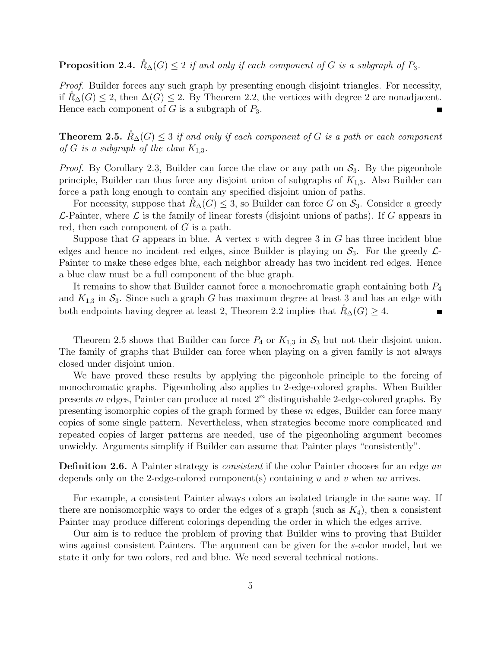**Proposition 2.4.**  $\check{R}_{\Delta}(G) \leq 2$  if and only if each component of G is a subgraph of  $P_3$ .

Proof. Builder forces any such graph by presenting enough disjoint triangles. For necessity, if  $R_{\Delta}(G)$  ≤ 2, then  $\Delta(G)$  ≤ 2. By Theorem 2.2, the vertices with degree 2 are nonadjacent. Hence each component of  $G$  is a subgraph of  $P_3$ .

**Theorem 2.5.**  $R_{\Delta}(G) \leq 3$  if and only if each component of G is a path or each component of G is a subgraph of the claw  $K_{1,3}$ .

*Proof.* By Corollary 2.3, Builder can force the claw or any path on  $S_3$ . By the pigeonhole principle, Builder can thus force any disjoint union of subgraphs of  $K_{1,3}$ . Also Builder can force a path long enough to contain any specified disjoint union of paths.

For necessity, suppose that  $R_{\Delta}(G) \leq 3$ , so Builder can force G on  $S_3$ . Consider a greedy  $\mathcal{L}$ -Painter, where  $\mathcal{L}$  is the family of linear forests (disjoint unions of paths). If G appears in red, then each component of  $G$  is a path.

Suppose that G appears in blue. A vertex v with degree 3 in G has three incident blue edges and hence no incident red edges, since Builder is playing on  $S_3$ . For the greedy  $\mathcal{L}$ -Painter to make these edges blue, each neighbor already has two incident red edges. Hence a blue claw must be a full component of the blue graph.

It remains to show that Builder cannot force a monochromatic graph containing both  $P_4$ and  $K_{1,3}$  in  $S_3$ . Since such a graph G has maximum degree at least 3 and has an edge with both endpoints having degree at least 2, Theorem 2.2 implies that  $R_{\Delta}(G) \geq 4$ .

Theorem 2.5 shows that Builder can force  $P_4$  or  $K_{1,3}$  in  $S_3$  but not their disjoint union. The family of graphs that Builder can force when playing on a given family is not always closed under disjoint union.

We have proved these results by applying the pigeonhole principle to the forcing of monochromatic graphs. Pigeonholing also applies to 2-edge-colored graphs. When Builder presents m edges, Painter can produce at most  $2<sup>m</sup>$  distinguishable 2-edge-colored graphs. By presenting isomorphic copies of the graph formed by these  $m$  edges, Builder can force many copies of some single pattern. Nevertheless, when strategies become more complicated and repeated copies of larger patterns are needed, use of the pigeonholing argument becomes unwieldy. Arguments simplify if Builder can assume that Painter plays "consistently".

**Definition 2.6.** A Painter strategy is *consistent* if the color Painter chooses for an edge uv depends only on the 2-edge-colored component(s) containing u and v when uv arrives.

For example, a consistent Painter always colors an isolated triangle in the same way. If there are nonisomorphic ways to order the edges of a graph (such as  $K_4$ ), then a consistent Painter may produce different colorings depending the order in which the edges arrive.

Our aim is to reduce the problem of proving that Builder wins to proving that Builder wins against consistent Painters. The argument can be given for the s-color model, but we state it only for two colors, red and blue. We need several technical notions.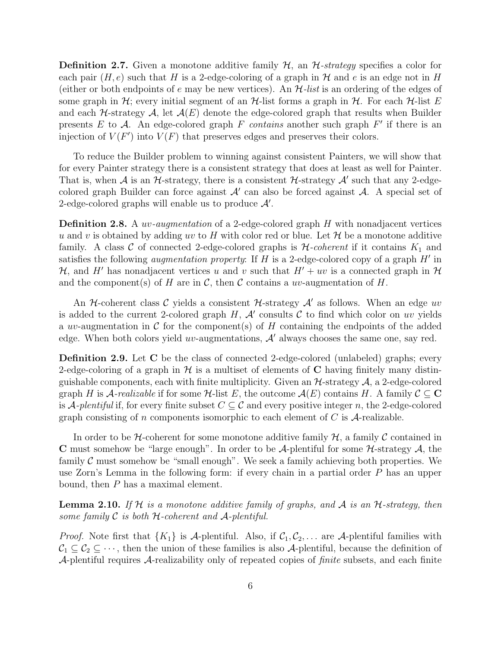**Definition 2.7.** Given a monotone additive family  $H$ , an  $H$ -strategy specifies a color for each pair  $(H,e)$  such that H is a 2-edge-coloring of a graph in H and e is an edge not in H (either or both endpoints of e may be new vertices). An  $H$ -list is an ordering of the edges of some graph in  $\mathcal{H}$ ; every initial segment of an  $\mathcal{H}$ -list forms a graph in  $\mathcal{H}$ . For each  $\mathcal{H}$ -list E and each  $H$ -strategy  $A$ , let  $A(E)$  denote the edge-colored graph that results when Builder presents E to A. An edge-colored graph F contains another such graph  $F'$  if there is an injection of  $V(F')$  into  $V(F)$  that preserves edges and preserves their colors.

To reduce the Builder problem to winning against consistent Painters, we will show that for every Painter strategy there is a consistent strategy that does at least as well for Painter. That is, when  $A$  is an  $H$ -strategy, there is a consistent  $H$ -strategy  $A'$  such that any 2-edgecolored graph Builder can force against  $A'$  can also be forced against  $A$ . A special set of 2-edge-colored graphs will enable us to produce  $\mathcal{A}'$ .

**Definition 2.8.** A *uv-augmentation* of a 2-edge-colored graph  $H$  with nonadjacent vertices u and v is obtained by adding uv to H with color red or blue. Let  $\mathcal H$  be a monotone additive family. A class C of connected 2-edge-colored graphs is  $H$ -coherent if it contains  $K_1$  and satisfies the following *augmentation property*: If  $H$  is a 2-edge-colored copy of a graph  $H'$  in H, and H' has nonadjacent vertices u and v such that  $H' + uv$  is a connected graph in H and the component(s) of H are in C, then C contains a uv-augmentation of H.

An H-coherent class C yields a consistent H-strategy  $\mathcal{A}'$  as follows. When an edge uv is added to the current 2-colored graph  $H$ ,  $\mathcal{A}'$  consults  $\mathcal C$  to find which color on uv yields a uv-augmentation in C for the components of H containing the endpoints of the added edge. When both colors yield *uv*-augmentations,  $A'$  always chooses the same one, say red.

Definition 2.9. Let C be the class of connected 2-edge-colored (unlabeled) graphs; every 2-edge-coloring of a graph in  $\mathcal H$  is a multiset of elements of C having finitely many distinguishable components, each with finite multiplicity. Given an  $H$ -strategy  $A$ , a 2-edge-colored graph H is A-realizable if for some H-list E, the outcome  $\mathcal{A}(E)$  contains H. A family  $\mathcal{C} \subseteq \mathbf{C}$ is A-plentiful if, for every finite subset  $C \subseteq \mathcal{C}$  and every positive integer n, the 2-edge-colored graph consisting of n components isomorphic to each element of  $C$  is  $A$ -realizable.

In order to be H-coherent for some monotone additive family  $H$ , a family C contained in C must somehow be "large enough". In order to be A-plentiful for some  $H$ -strategy  $A$ , the family  $\mathcal C$  must somehow be "small enough". We seek a family achieving both properties. We use Zorn's Lemma in the following form: if every chain in a partial order P has an upper bound, then P has a maximal element.

**Lemma 2.10.** If  $H$  is a monotone additive family of graphs, and  $A$  is an  $H$ -strategy, then some family  $\mathcal C$  is both  $\mathcal H$ -coherent and  $\mathcal A$ -plentiful.

*Proof.* Note first that  $\{K_1\}$  is A-plentiful. Also, if  $C_1, C_2, \ldots$  are A-plentiful families with  $C_1 \subseteq C_2 \subseteq \cdots$ , then the union of these families is also A-plentiful, because the definition of A-plentiful requires A-realizability only of repeated copies of *finite* subsets, and each finite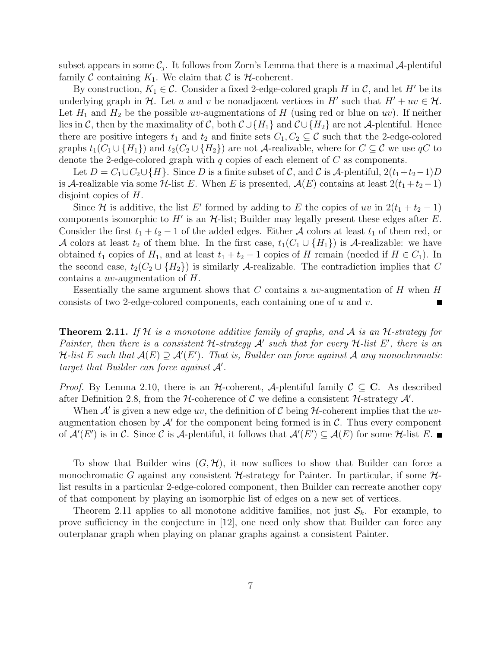subset appears in some  $\mathcal{C}_j$ . It follows from Zorn's Lemma that there is a maximal  $\mathcal{A}$ -plentiful family C containing  $K_1$ . We claim that C is  $H$ -coherent.

By construction,  $K_1 \in \mathcal{C}$ . Consider a fixed 2-edge-colored graph H in  $\mathcal{C}$ , and let H' be its underlying graph in H. Let u and v be nonadjacent vertices in H' such that  $H' + uv \in H$ . Let  $H_1$  and  $H_2$  be the possible uv-augmentations of H (using red or blue on uv). If neither lies in C, then by the maximality of C, both  $\mathcal{C} \cup \{H_1\}$  and  $\mathcal{C} \cup \{H_2\}$  are not A-plentiful. Hence there are positive integers  $t_1$  and  $t_2$  and finite sets  $C_1, C_2 \subseteq \mathcal{C}$  such that the 2-edge-colored graphs  $t_1(C_1 \cup \{H_1\})$  and  $t_2(C_2 \cup \{H_2\})$  are not A-realizable, where for  $C \subseteq \mathcal{C}$  we use qC to denote the 2-edge-colored graph with  $q$  copies of each element of  $C$  as components.

Let  $D = C_1 \cup C_2 \cup \{H\}$ . Since D is a finite subset of C, and C is A-plentiful,  $2(t_1+t_2-1)D$ is A-realizable via some  $\mathcal{H}\text{-list }E$ . When E is presented,  $\mathcal{A}(E)$  contains at least  $2(t_1 + t_2 - 1)$ disjoint copies of H.

Since H is additive, the list E' formed by adding to E the copies of uv in  $2(t_1 + t_2 - 1)$ components isomorphic to  $H'$  is an  $H$ -list; Builder may legally present these edges after  $E$ . Consider the first  $t_1 + t_2 - 1$  of the added edges. Either A colors at least  $t_1$  of them red, or A colors at least  $t_2$  of them blue. In the first case,  $t_1(C_1 \cup \{H_1\})$  is A-realizable: we have obtained  $t_1$  copies of  $H_1$ , and at least  $t_1 + t_2 - 1$  copies of H remain (needed if  $H \in C_1$ ). In the second case,  $t_2(C_2 \cup \{H_2\})$  is similarly A-realizable. The contradiction implies that C contains a uv-augmentation of H.

Essentially the same argument shows that C contains a  $uv$ -augmentation of H when H consists of two 2-edge-colored components, each containing one of u and v.

**Theorem 2.11.** If H is a monotone additive family of graphs, and A is an H-strategy for Painter, then there is a consistent  $H$ -strategy  $A'$  such that for every  $H$ -list  $E'$ , there is an H-list E such that  $\mathcal{A}(E) \supseteq \mathcal{A}'(E')$ . That is, Builder can force against  $\mathcal A$  any monochromatic target that Builder can force against  $A'$ .

*Proof.* By Lemma 2.10, there is an  $H$ -coherent, A-plentiful family  $C \subseteq C$ . As described after Definition 2.8, from the  $H$ -coherence of  $C$  we define a consistent  $H$ -strategy  $A'$ .

When  $A'$  is given a new edge uv, the definition of C being H-coherent implies that the uvaugmentation chosen by  $\mathcal{A}'$  for the component being formed is in  $\mathcal{C}$ . Thus every component of  $\mathcal{A}'(E')$  is in C. Since C is A-plentiful, it follows that  $\mathcal{A}'(E') \subseteq \mathcal{A}(E)$  for some H-list E.

To show that Builder wins  $(G, \mathcal{H})$ , it now suffices to show that Builder can force a monochromatic G against any consistent  $H$ -strategy for Painter. In particular, if some  $H$ list results in a particular 2-edge-colored component, then Builder can recreate another copy of that component by playing an isomorphic list of edges on a new set of vertices.

Theorem 2.11 applies to all monotone additive families, not just  $S_k$ . For example, to prove sufficiency in the conjecture in [12], one need only show that Builder can force any outerplanar graph when playing on planar graphs against a consistent Painter.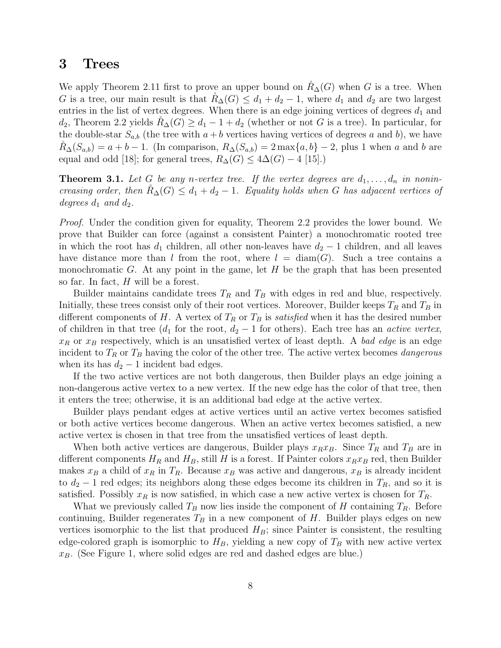#### 3 Trees

We apply Theorem 2.11 first to prove an upper bound on  $R_{\Delta}(G)$  when G is a tree. When G is a tree, our main result is that  $R_{\Delta}(G) \leq d_1 + d_2 - 1$ , where  $d_1$  and  $d_2$  are two largest entries in the list of vertex degrees. When there is an edge joining vertices of degrees  $d_1$  and  $d_2$ , Theorem 2.2 yields  $R_{\Delta}(G) \geq d_1 - 1 + d_2$  (whether or not G is a tree). In particular, for the double-star  $S_{a,b}$  (the tree with  $a+b$  vertices having vertices of degrees a and b), we have  $R_{\Delta}(S_{a,b}) = a + b - 1$ . (In comparison,  $R_{\Delta}(S_{a,b}) = 2 \max\{a,b\} - 2$ , plus 1 when a and b are equal and odd [18]; for general trees,  $R_{\Delta}(G) \leq 4\Delta(G) - 4$  [15].)

**Theorem 3.1.** Let G be any n-vertex tree. If the vertex degrees are  $d_1, \ldots, d_n$  in nonincreasing order, then  $\tilde{R}_{\Delta}(G) \leq d_1 + d_2 - 1$ . Equality holds when G has adjacent vertices of degrees  $d_1$  and  $d_2$ .

Proof. Under the condition given for equality, Theorem 2.2 provides the lower bound. We prove that Builder can force (against a consistent Painter) a monochromatic rooted tree in which the root has  $d_1$  children, all other non-leaves have  $d_2 - 1$  children, and all leaves have distance more than l from the root, where  $l = \text{diam}(G)$ . Such a tree contains a monochromatic G. At any point in the game, let  $H$  be the graph that has been presented so far. In fact, H will be a forest.

Builder maintains candidate trees  $T_R$  and  $T_B$  with edges in red and blue, respectively. Initially, these trees consist only of their root vertices. Moreover, Builder keeps  $T_R$  and  $T_B$  in different components of H. A vertex of  $T_R$  or  $T_B$  is satisfied when it has the desired number of children in that tree ( $d_1$  for the root,  $d_2 - 1$  for others). Each tree has an *active vertex*,  $x_R$  or  $x_B$  respectively, which is an unsatisfied vertex of least depth. A bad edge is an edge incident to  $T_R$  or  $T_B$  having the color of the other tree. The active vertex becomes *dangerous* when its has  $d_2 - 1$  incident bad edges.

If the two active vertices are not both dangerous, then Builder plays an edge joining a non-dangerous active vertex to a new vertex. If the new edge has the color of that tree, then it enters the tree; otherwise, it is an additional bad edge at the active vertex.

Builder plays pendant edges at active vertices until an active vertex becomes satisfied or both active vertices become dangerous. When an active vertex becomes satisfied, a new active vertex is chosen in that tree from the unsatisfied vertices of least depth.

When both active vertices are dangerous, Builder plays  $x_R x_B$ . Since  $T_R$  and  $T_B$  are in different components  $H_R$  and  $H_B$ , still H is a forest. If Painter colors  $x_Rx_B$  red, then Builder makes  $x_B$  a child of  $x_R$  in  $T_R$ . Because  $x_B$  was active and dangerous,  $x_B$  is already incident to  $d_2 - 1$  red edges; its neighbors along these edges become its children in  $T_R$ , and so it is satisfied. Possibly  $x_R$  is now satisfied, in which case a new active vertex is chosen for  $T_R$ .

What we previously called  $T_B$  now lies inside the component of H containing  $T_R$ . Before continuing, Builder regenerates  $T_B$  in a new component of H. Builder plays edges on new vertices isomorphic to the list that produced  $H_B$ ; since Painter is consistent, the resulting edge-colored graph is isomorphic to  $H_B$ , yielding a new copy of  $T_B$  with new active vertex  $x_B$ . (See Figure 1, where solid edges are red and dashed edges are blue.)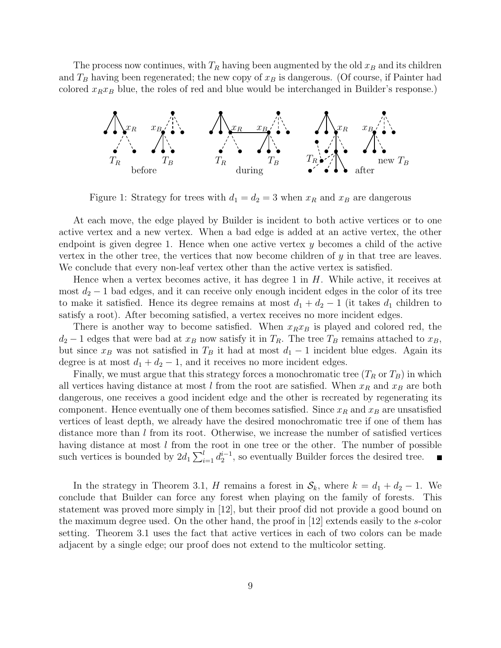The process now continues, with  $T_R$  having been augmented by the old  $x_B$  and its children and  $T_B$  having been regenerated; the new copy of  $x_B$  is dangerous. (Of course, if Painter had colored  $x_Rx_B$  blue, the roles of red and blue would be interchanged in Builder's response.)



Figure 1: Strategy for trees with  $d_1 = d_2 = 3$  when  $x_R$  and  $x_B$  are dangerous

At each move, the edge played by Builder is incident to both active vertices or to one active vertex and a new vertex. When a bad edge is added at an active vertex, the other endpoint is given degree 1. Hence when one active vertex  $y$  becomes a child of the active vertex in the other tree, the vertices that now become children of  $y$  in that tree are leaves. We conclude that every non-leaf vertex other than the active vertex is satisfied.

Hence when a vertex becomes active, it has degree 1 in  $H$ . While active, it receives at most  $d_2 - 1$  bad edges, and it can receive only enough incident edges in the color of its tree to make it satisfied. Hence its degree remains at most  $d_1 + d_2 - 1$  (it takes  $d_1$  children to satisfy a root). After becoming satisfied, a vertex receives no more incident edges.

There is another way to become satisfied. When  $x_Rx_B$  is played and colored red, the  $d_2 - 1$  edges that were bad at  $x_B$  now satisfy it in  $T_R$ . The tree  $T_B$  remains attached to  $x_B$ , but since  $x_B$  was not satisfied in  $T_B$  it had at most  $d_1 - 1$  incident blue edges. Again its degree is at most  $d_1 + d_2 - 1$ , and it receives no more incident edges.

Finally, we must argue that this strategy forces a monochromatic tree  $(T_R \text{ or } T_B)$  in which all vertices having distance at most l from the root are satisfied. When  $x_R$  and  $x_B$  are both dangerous, one receives a good incident edge and the other is recreated by regenerating its component. Hence eventually one of them becomes satisfied. Since  $x_R$  and  $x_B$  are unsatisfied vertices of least depth, we already have the desired monochromatic tree if one of them has distance more than  $l$  from its root. Otherwise, we increase the number of satisfied vertices having distance at most  $l$  from the root in one tree or the other. The number of possible such vertices is bounded by  $2d_1 \sum_{i=1}^l d_2^{i-1}$ , so eventually Builder forces the desired tree.  $\blacksquare$ 

In the strategy in Theorem 3.1, H remains a forest in  $\mathcal{S}_k$ , where  $k = d_1 + d_2 - 1$ . We conclude that Builder can force any forest when playing on the family of forests. This statement was proved more simply in [12], but their proof did not provide a good bound on the maximum degree used. On the other hand, the proof in [12] extends easily to the s-color setting. Theorem 3.1 uses the fact that active vertices in each of two colors can be made adjacent by a single edge; our proof does not extend to the multicolor setting.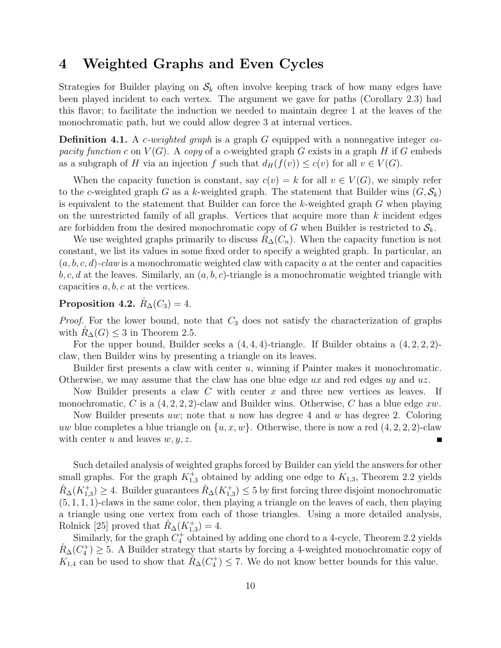# 4 Weighted Graphs and Even Cycles

Strategies for Builder playing on  $\mathcal{S}_k$  often involve keeping track of how many edges have been played incident to each vertex. The argument we gave for paths (Corollary 2.3) had this flavor; to facilitate the induction we needed to maintain degree 1 at the leaves of the monochromatic path, but we could allow degree 3 at internal vertices.

**Definition 4.1.** A c-weighted graph is a graph G equipped with a nonnegative integer capacity function c on  $V(G)$ . A copy of a c-weighted graph G exists in a graph H if G embeds as a subgraph of H via an injection f such that  $d_H(f(v)) \leq c(v)$  for all  $v \in V(G)$ .

When the capacity function is constant, say  $c(v) = k$  for all  $v \in V(G)$ , we simply refer to the c-weighted graph G as a k-weighted graph. The statement that Builder wins  $(G, \mathcal{S}_k)$ is equivalent to the statement that Builder can force the  $k$ -weighted graph  $G$  when playing on the unrestricted family of all graphs. Vertices that acquire more than  $k$  incident edges are forbidden from the desired monochromatic copy of G when Builder is restricted to  $S_k$ .

We use weighted graphs primarily to discuss  $R_{\Delta}(C_n)$ . When the capacity function is not constant, we list its values in some fixed order to specify a weighted graph. In particular, an  $(a, b, c, d)$ -claw is a monochromatic weighted claw with capacity a at the center and capacities  $b, c, d$  at the leaves. Similarly, an  $(a, b, c)$ -triangle is a monochromatic weighted triangle with capacities  $a, b, c$  at the vertices.

# Proposition 4.2.  $\mathring{R}_{\Delta}(C_3) = 4$ .

*Proof.* For the lower bound, note that  $C_3$  does not satisfy the characterization of graphs with  $R_{\Delta}(G) \leq 3$  in Theorem 2.5.

For the upper bound, Builder seeks a  $(4, 4, 4)$ -triangle. If Builder obtains a  $(4, 2, 2, 2)$ claw, then Builder wins by presenting a triangle on its leaves.

Builder first presents a claw with center  $u$ , winning if Painter makes it monochromatic. Otherwise, we may assume that the claw has one blue edge  $ux$  and red edges  $uy$  and  $uz$ .

Now Builder presents a claw C with center x and three new vertices as leaves. If monochromatic, C is a  $(4, 2, 2, 2)$ -claw and Builder wins. Otherwise, C has a blue edge xw.

Now Builder presents uw; note that u now has degree 4 and w has degree 2. Coloring uw blue completes a blue triangle on  $\{u, x, w\}$ . Otherwise, there is now a red  $(4, 2, 2, 2)$ -claw with center u and leaves  $w, y, z$ . П

Such detailed analysis of weighted graphs forced by Builder can yield the answers for other small graphs. For the graph  $K_{1,3}^+$  obtained by adding one edge to  $K_{1,3}$ , Theorem 2.2 yields  $\mathring{R}_{\Delta}(K_{1,3}^+) \geq 4$ . Builder guarantees  $\mathring{R}_{\Delta}(K_{1,3}^+) \leq 5$  by first forcing three disjoint monochromatic  $(5, 1, 1, 1)$ -claws in the same color, then playing a triangle on the leaves of each, then playing a triangle using one vertex from each of those triangles. Using a more detailed analysis, Rolnick [25] proved that  $\mathring{R}_{\Delta}(K_{1,3}^{+})=4.$ 

Similarly, for the graph  $C_4^+$  obtained by adding one chord to a 4-cycle, Theorem 2.2 yields  $R_{\Delta}(C_4^+) \geq 5$ . A Builder strategy that starts by forcing a 4-weighted monochromatic copy of  $K_{1,4}$  can be used to show that  $\mathring{R}_{\Delta}(C_4^+) \leq 7$ . We do not know better bounds for this value.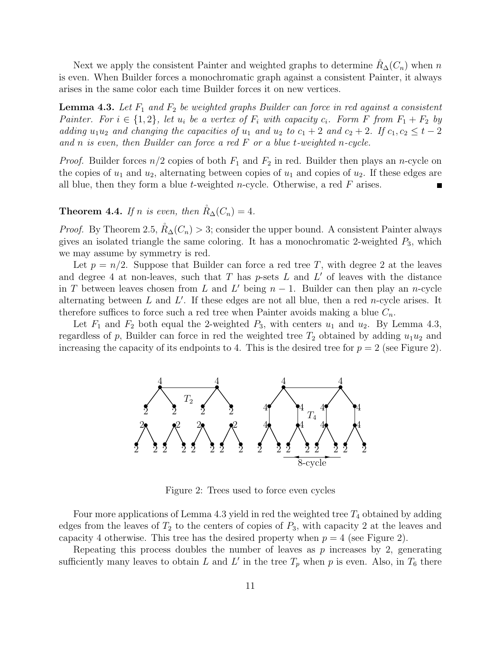Next we apply the consistent Painter and weighted graphs to determine  $R_{\Delta}(C_n)$  when n is even. When Builder forces a monochromatic graph against a consistent Painter, it always arises in the same color each time Builder forces it on new vertices.

**Lemma 4.3.** Let  $F_1$  and  $F_2$  be weighted graphs Builder can force in red against a consistent Painter. For  $i \in \{1,2\}$ , let  $u_i$  be a vertex of  $F_i$  with capacity  $c_i$ . Form F from  $F_1 + F_2$  by adding  $u_1u_2$  and changing the capacities of  $u_1$  and  $u_2$  to  $c_1 + 2$  and  $c_2 + 2$ . If  $c_1, c_2 \leq t - 2$ and n is even, then Builder can force a red  $F$  or a blue t-weighted n-cycle.

*Proof.* Builder forces  $n/2$  copies of both  $F_1$  and  $F_2$  in red. Builder then plays an n-cycle on the copies of  $u_1$  and  $u_2$ , alternating between copies of  $u_1$  and copies of  $u_2$ . If these edges are all blue, then they form a blue t-weighted n-cycle. Otherwise, a red  $F$  arises.

**Theorem 4.4.** If n is even, then  $\tilde{R}_{\Delta}(C_n) = 4$ .

*Proof.* By Theorem 2.5,  $R_{\Delta}(C_n) > 3$ ; consider the upper bound. A consistent Painter always gives an isolated triangle the same coloring. It has a monochromatic 2-weighted  $P_3$ , which we may assume by symmetry is red.

Let  $p = n/2$ . Suppose that Builder can force a red tree T, with degree 2 at the leaves and degree 4 at non-leaves, such that  $T$  has  $p$ -sets  $L$  and  $L'$  of leaves with the distance in T between leaves chosen from L and L' being  $n-1$ . Builder can then play an n-cycle alternating between  $L$  and  $L'$ . If these edges are not all blue, then a red *n*-cycle arises. It therefore suffices to force such a red tree when Painter avoids making a blue  $C_n$ .

Let  $F_1$  and  $F_2$  both equal the 2-weighted  $P_3$ , with centers  $u_1$  and  $u_2$ . By Lemma 4.3, regardless of p, Builder can force in red the weighted tree  $T_2$  obtained by adding  $u_1u_2$  and increasing the capacity of its endpoints to 4. This is the desired tree for  $p = 2$  (see Figure 2).



Figure 2: Trees used to force even cycles

Four more applications of Lemma 4.3 yield in red the weighted tree  $T_4$  obtained by adding edges from the leaves of  $T_2$  to the centers of copies of  $P_3$ , with capacity 2 at the leaves and capacity 4 otherwise. This tree has the desired property when  $p = 4$  (see Figure 2).

Repeating this process doubles the number of leaves as  $p$  increases by 2, generating sufficiently many leaves to obtain L and L' in the tree  $T_p$  when p is even. Also, in  $T_6$  there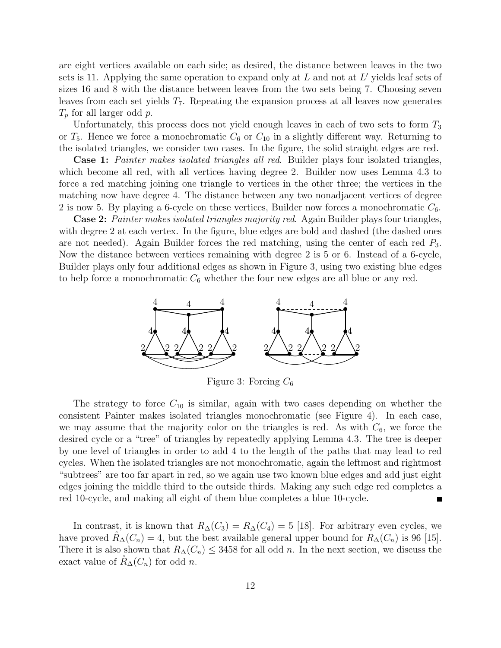are eight vertices available on each side; as desired, the distance between leaves in the two sets is 11. Applying the same operation to expand only at  $L$  and not at  $L'$  yields leaf sets of sizes 16 and 8 with the distance between leaves from the two sets being 7. Choosing seven leaves from each set yields  $T<sub>7</sub>$ . Repeating the expansion process at all leaves now generates  $T_p$  for all larger odd p.

Unfortunately, this process does not yield enough leaves in each of two sets to form  $T_3$ or  $T_5$ . Hence we force a monochromatic  $C_6$  or  $C_{10}$  in a slightly different way. Returning to the isolated triangles, we consider two cases. In the figure, the solid straight edges are red.

**Case 1:** Painter makes isolated triangles all red. Builder plays four isolated triangles, which become all red, with all vertices having degree 2. Builder now uses Lemma 4.3 to force a red matching joining one triangle to vertices in the other three; the vertices in the matching now have degree 4. The distance between any two nonadjacent vertices of degree 2 is now 5. By playing a 6-cycle on these vertices, Builder now forces a monochromatic  $C_6$ .

Case 2: Painter makes isolated triangles majority red. Again Builder plays four triangles, with degree 2 at each vertex. In the figure, blue edges are bold and dashed (the dashed ones are not needed). Again Builder forces the red matching, using the center of each red  $P_3$ . Now the distance between vertices remaining with degree 2 is 5 or 6. Instead of a 6-cycle, Builder plays only four additional edges as shown in Figure 3, using two existing blue edges to help force a monochromatic  $C_6$  whether the four new edges are all blue or any red.



The strategy to force  $C_{10}$  is similar, again with two cases depending on whether the consistent Painter makes isolated triangles monochromatic (see Figure 4). In each case, we may assume that the majority color on the triangles is red. As with  $C_6$ , we force the desired cycle or a "tree" of triangles by repeatedly applying Lemma 4.3. The tree is deeper by one level of triangles in order to add 4 to the length of the paths that may lead to red cycles. When the isolated triangles are not monochromatic, again the leftmost and rightmost "subtrees" are too far apart in red, so we again use two known blue edges and add just eight edges joining the middle third to the outside thirds. Making any such edge red completes a red 10-cycle, and making all eight of them blue completes a blue 10-cycle.

In contrast, it is known that  $R_{\Delta}(C_3) = R_{\Delta}(C_4) = 5$  [18]. For arbitrary even cycles, we have proved  $R_{\Delta}(C_n) = 4$ , but the best available general upper bound for  $R_{\Delta}(C_n)$  is 96 [15]. There it is also shown that  $R_{\Delta}(C_n) \leq 3458$  for all odd n. In the next section, we discuss the exact value of  $R_{\Delta}(C_n)$  for odd n.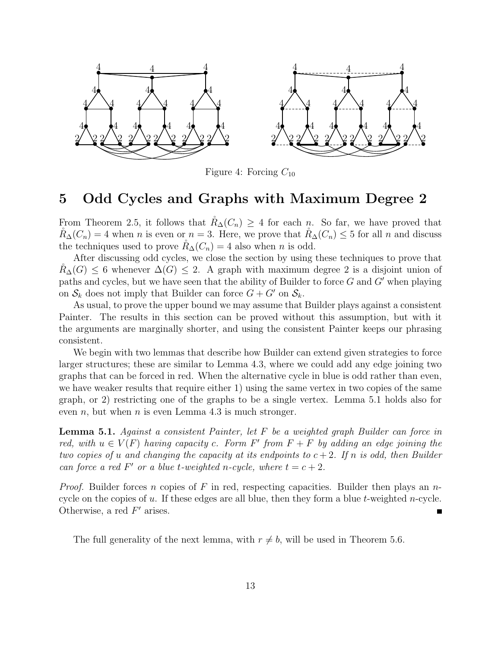

Figure 4: Forcing  $C_{10}$ 

# 5 Odd Cycles and Graphs with Maximum Degree 2

From Theorem 2.5, it follows that  $R_{\Delta}(C_n) \geq 4$  for each n. So far, we have proved that  $R_{\Delta}(C_n) = 4$  when n is even or  $n = 3$ . Here, we prove that  $R_{\Delta}(C_n) \leq 5$  for all n and discuss the techniques used to prove  $R_{\Delta}(C_n) = 4$  also when n is odd.

After discussing odd cycles, we close the section by using these techniques to prove that  $R_{\Delta}(G) \leq 6$  whenever  $\Delta(G) \leq 2$ . A graph with maximum degree 2 is a disjoint union of paths and cycles, but we have seen that the ability of Builder to force  $G$  and  $G'$  when playing on  $S_k$  does not imply that Builder can force  $G + G'$  on  $S_k$ .

As usual, to prove the upper bound we may assume that Builder plays against a consistent Painter. The results in this section can be proved without this assumption, but with it the arguments are marginally shorter, and using the consistent Painter keeps our phrasing consistent.

We begin with two lemmas that describe how Builder can extend given strategies to force larger structures; these are similar to Lemma 4.3, where we could add any edge joining two graphs that can be forced in red. When the alternative cycle in blue is odd rather than even, we have weaker results that require either 1) using the same vertex in two copies of the same graph, or 2) restricting one of the graphs to be a single vertex. Lemma 5.1 holds also for even  $n$ , but when  $n$  is even Lemma 4.3 is much stronger.

**Lemma 5.1.** Against a consistent Painter, let  $F$  be a weighted graph Builder can force in red, with  $u \in V(F)$  having capacity c. Form F' from  $F + F$  by adding an edge joining the two copies of u and changing the capacity at its endpoints to  $c+2$ . If n is odd, then Builder can force a red F' or a blue t-weighted n-cycle, where  $t = c + 2$ .

*Proof.* Builder forces n copies of F in red, respecting capacities. Builder then plays an ncycle on the copies of  $u$ . If these edges are all blue, then they form a blue  $t$ -weighted *n*-cycle. Otherwise, a red  $F'$  arises.

The full generality of the next lemma, with  $r \neq b$ , will be used in Theorem 5.6.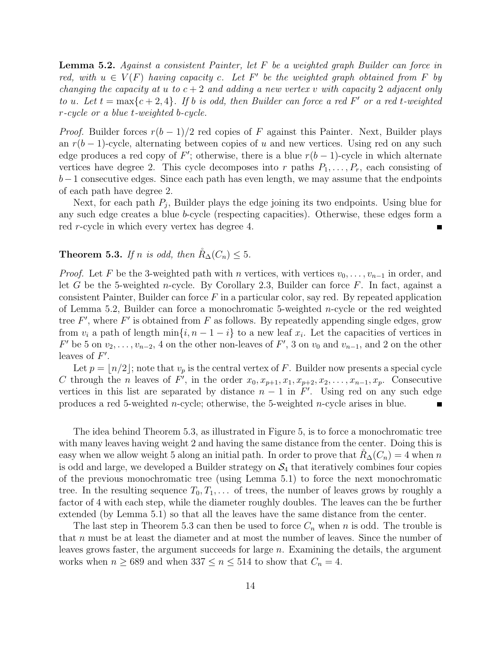Lemma 5.2. Against a consistent Painter, let F be a weighted graph Builder can force in red, with  $u \in V(F)$  having capacity c. Let F' be the weighted graph obtained from F by changing the capacity at u to  $c + 2$  and adding a new vertex v with capacity 2 adjacent only to u. Let  $t = \max\{c + 2, 4\}$ . If b is odd, then Builder can force a red F' or a red t-weighted r-cycle or a blue t-weighted b-cycle.

*Proof.* Builder forces  $r(b-1)/2$  red copies of F against this Painter. Next, Builder plays an  $r(b-1)$ -cycle, alternating between copies of u and new vertices. Using red on any such edge produces a red copy of F'; otherwise, there is a blue  $r(b-1)$ -cycle in which alternate vertices have degree 2. This cycle decomposes into r paths  $P_1, \ldots, P_r$ , each consisting of  $b-1$  consecutive edges. Since each path has even length, we may assume that the endpoints of each path have degree 2.

Next, for each path  $P_j$ , Builder plays the edge joining its two endpoints. Using blue for any such edge creates a blue b-cycle (respecting capacities). Otherwise, these edges form a red r-cycle in which every vertex has degree 4.

#### **Theorem 5.3.** If n is odd, then  $\mathring{R}_{\Delta}(C_n) \leq 5$ .

*Proof.* Let F be the 3-weighted path with n vertices, with vertices  $v_0, \ldots, v_{n-1}$  in order, and let G be the 5-weighted n-cycle. By Corollary 2.3, Builder can force  $F$ . In fact, against a consistent Painter, Builder can force  $F$  in a particular color, say red. By repeated application of Lemma 5.2, Builder can force a monochromatic 5-weighted *n*-cycle or the red weighted tree  $F'$ , where  $F'$  is obtained from  $F$  as follows. By repeatedly appending single edges, grow from  $v_i$  a path of length  $\min\{i, n-1-i\}$  to a new leaf  $x_i$ . Let the capacities of vertices in  $F'$  be 5 on  $v_2, \ldots, v_{n-2}$ , 4 on the other non-leaves of  $F'$ , 3 on  $v_0$  and  $v_{n-1}$ , and 2 on the other leaves of  $F'$ .

Let  $p = |n/2|$ ; note that  $v_p$  is the central vertex of F. Builder now presents a special cycle C through the *n* leaves of F', in the order  $x_0, x_{p+1}, x_1, x_{p+2}, x_2, \ldots, x_{n-1}, x_p$ . Consecutive vertices in this list are separated by distance  $n-1$  in F'. Using red on any such edge produces a red 5-weighted n-cycle; otherwise, the 5-weighted n-cycle arises in blue.

The idea behind Theorem 5.3, as illustrated in Figure 5, is to force a monochromatic tree with many leaves having weight 2 and having the same distance from the center. Doing this is easy when we allow weight 5 along an initial path. In order to prove that  $R_{\Delta}(C_n) = 4$  when n is odd and large, we developed a Builder strategy on  $S_4$  that iteratively combines four copies of the previous monochromatic tree (using Lemma 5.1) to force the next monochromatic tree. In the resulting sequence  $T_0, T_1, \ldots$  of trees, the number of leaves grows by roughly a factor of 4 with each step, while the diameter roughly doubles. The leaves can the be further extended (by Lemma 5.1) so that all the leaves have the same distance from the center.

The last step in Theorem 5.3 can then be used to force  $C_n$  when n is odd. The trouble is that n must be at least the diameter and at most the number of leaves. Since the number of leaves grows faster, the argument succeeds for large n. Examining the details, the argument works when  $n \ge 689$  and when  $337 \le n \le 514$  to show that  $C_n = 4$ .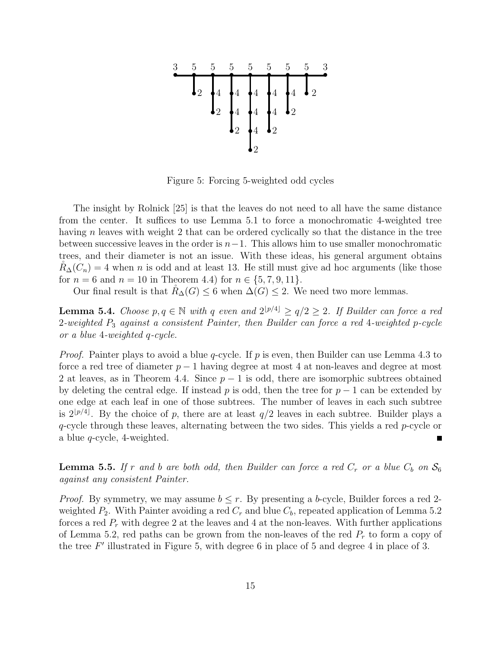

Figure 5: Forcing 5-weighted odd cycles

The insight by Rolnick [25] is that the leaves do not need to all have the same distance from the center. It suffices to use Lemma 5.1 to force a monochromatic 4-weighted tree having n leaves with weight 2 that can be ordered cyclically so that the distance in the tree between successive leaves in the order is  $n-1$ . This allows him to use smaller monochromatic trees, and their diameter is not an issue. With these ideas, his general argument obtains  $R_{\Delta}(C_n) = 4$  when n is odd and at least 13. He still must give ad hoc arguments (like those for  $n = 6$  and  $n = 10$  in Theorem 4.4) for  $n \in \{5, 7, 9, 11\}$ .

Our final result is that  $R_{\Delta}(G) \leq 6$  when  $\Delta(G) \leq 2$ . We need two more lemmas.

**Lemma 5.4.** Choose  $p, q \in \mathbb{N}$  with q even and  $2^{p/4} \ge q/2 \ge 2$ . If Builder can force a red 2-weighted P<sup>3</sup> against a consistent Painter, then Builder can force a red 4-weighted p-cycle or a blue 4-weighted q-cycle.

*Proof.* Painter plays to avoid a blue q-cycle. If p is even, then Builder can use Lemma 4.3 to force a red tree of diameter  $p-1$  having degree at most 4 at non-leaves and degree at most 2 at leaves, as in Theorem 4.4. Since  $p-1$  is odd, there are isomorphic subtrees obtained by deleting the central edge. If instead p is odd, then the tree for  $p-1$  can be extended by one edge at each leaf in one of those subtrees. The number of leaves in each such subtree is  $2^{p/4}$ . By the choice of p, there are at least  $q/2$  leaves in each subtree. Builder plays a  $q$ -cycle through these leaves, alternating between the two sides. This yields a red  $p$ -cycle or a blue q-cycle, 4-weighted.

**Lemma 5.5.** If r and b are both odd, then Builder can force a red  $C_r$  or a blue  $C_b$  on  $S_6$ against any consistent Painter.

*Proof.* By symmetry, we may assume  $b \leq r$ . By presenting a b-cycle, Builder forces a red 2weighted  $P_2$ . With Painter avoiding a red  $C_r$  and blue  $C_b$ , repeated application of Lemma 5.2 forces a red  $P_r$  with degree 2 at the leaves and 4 at the non-leaves. With further applications of Lemma 5.2, red paths can be grown from the non-leaves of the red  $P_r$  to form a copy of the tree  $F'$  illustrated in Figure 5, with degree 6 in place of 5 and degree 4 in place of 3.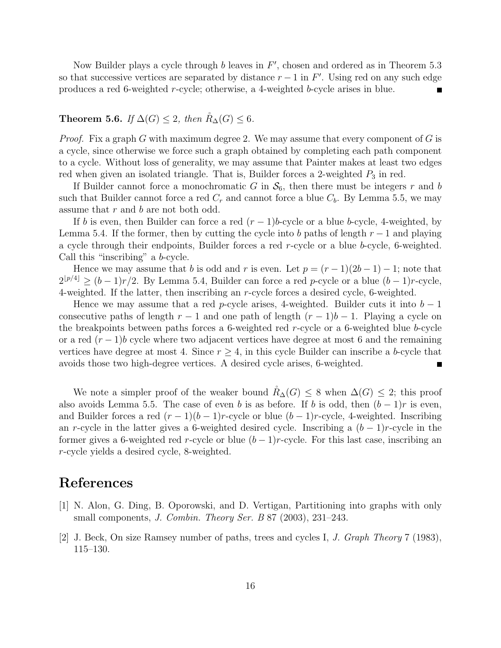Now Builder plays a cycle through  $b$  leaves in  $F'$ , chosen and ordered as in Theorem 5.3 so that successive vertices are separated by distance  $r - 1$  in F'. Using red on any such edge produces a red 6-weighted r-cycle; otherwise, a 4-weighted b-cycle arises in blue.

#### **Theorem 5.6.** If  $\Delta(G) \leq 2$ , then  $\mathring{R}_{\Delta}(G) \leq 6$ .

*Proof.* Fix a graph G with maximum degree 2. We may assume that every component of G is a cycle, since otherwise we force such a graph obtained by completing each path component to a cycle. Without loss of generality, we may assume that Painter makes at least two edges red when given an isolated triangle. That is, Builder forces a 2-weighted  $P_3$  in red.

If Builder cannot force a monochromatic G in  $\mathcal{S}_6$ , then there must be integers r and b such that Builder cannot force a red  $C_r$  and cannot force a blue  $C_b$ . By Lemma 5.5, we may assume that r and b are not both odd.

If b is even, then Builder can force a red  $(r-1)b$ -cycle or a blue b-cycle, 4-weighted, by Lemma 5.4. If the former, then by cutting the cycle into b paths of length  $r-1$  and playing a cycle through their endpoints, Builder forces a red r-cycle or a blue b-cycle, 6-weighted. Call this "inscribing" a b-cycle.

Hence we may assume that b is odd and r is even. Let  $p = (r-1)(2b-1) - 1$ ; note that  $2^{\lfloor p/4 \rfloor} \ge (b-1)r/2$ . By Lemma 5.4, Builder can force a red p-cycle or a blue  $(b-1)r$ -cycle, 4-weighted. If the latter, then inscribing an r-cycle forces a desired cycle, 6-weighted.

Hence we may assume that a red p-cycle arises, 4-weighted. Builder cuts it into  $b-1$ consecutive paths of length  $r - 1$  and one path of length  $(r - 1)b - 1$ . Playing a cycle on the breakpoints between paths forces a 6-weighted red r-cycle or a 6-weighted blue b-cycle or a red  $(r-1)b$  cycle where two adjacent vertices have degree at most 6 and the remaining vertices have degree at most 4. Since  $r \geq 4$ , in this cycle Builder can inscribe a b-cycle that avoids those two high-degree vertices. A desired cycle arises, 6-weighted.

We note a simpler proof of the weaker bound  $R_{\Delta}(G) \leq 8$  when  $\Delta(G) \leq 2$ ; this proof also avoids Lemma 5.5. The case of even b is as before. If b is odd, then  $(b-1)r$  is even, and Builder forces a red  $(r-1)(b-1)r$ -cycle or blue  $(b-1)r$ -cycle, 4-weighted. Inscribing an r-cycle in the latter gives a 6-weighted desired cycle. Inscribing a  $(b-1)r$ -cycle in the former gives a 6-weighted red r-cycle or blue  $(b-1)r$ -cycle. For this last case, inscribing an r-cycle yields a desired cycle, 8-weighted.

## References

- [1] N. Alon, G. Ding, B. Oporowski, and D. Vertigan, Partitioning into graphs with only small components, J. Combin. Theory Ser. B  $87$  (2003), 231–243.
- [2] J. Beck, On size Ramsey number of paths, trees and cycles I, J. Graph Theory 7 (1983), 115–130.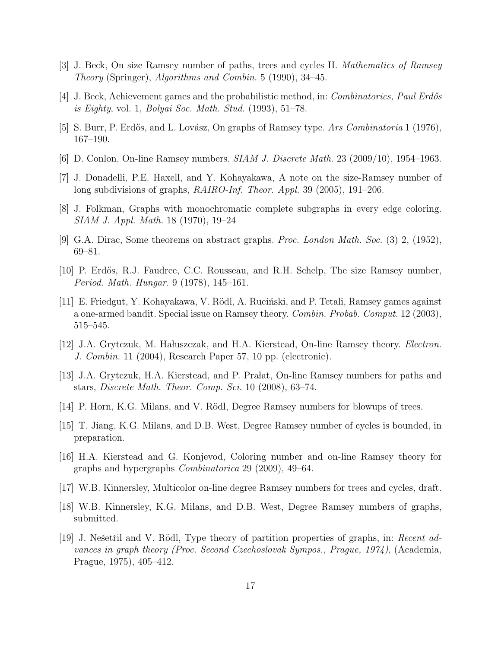- [3] J. Beck, On size Ramsey number of paths, trees and cycles II. Mathematics of Ramsey Theory (Springer), Algorithms and Combin. 5 (1990), 34–45.
- [4] J. Beck, Achievement games and the probabilistic method, in: *Combinatorics, Paul Erdős* is Eighty, vol. 1, Bolyai Soc. Math. Stud. (1993), 51–78.
- [5] S. Burr, P. Erdős, and L. Lovász, On graphs of Ramsey type. Ars Combinatoria 1 (1976), 167–190.
- [6] D. Conlon, On-line Ramsey numbers. SIAM J. Discrete Math. 23 (2009/10), 1954–1963.
- [7] J. Donadelli, P.E. Haxell, and Y. Kohayakawa, A note on the size-Ramsey number of long subdivisions of graphs,  $RAIRO-Inf$ . Theor. Appl. 39 (2005), 191–206.
- [8] J. Folkman, Graphs with monochromatic complete subgraphs in every edge coloring. SIAM J. Appl. Math. 18 (1970), 19–24
- [9] G.A. Dirac, Some theorems on abstract graphs. Proc. London Math. Soc. (3) 2, (1952), 69–81.
- [10] P. Erdős, R.J. Faudree, C.C. Rousseau, and R.H. Schelp, The size Ramsey number, Period. Math. Hungar. 9 (1978), 145–161.
- [11] E. Friedgut, Y. Kohayakawa, V. Rödl, A. Ruciński, and P. Tetali, Ramsey games against a one-armed bandit. Special issue on Ramsey theory. Combin. Probab. Comput. 12 (2003), 515–545.
- [12] J.A. Grytczuk, M. Hałuszczak, and H.A. Kierstead, On-line Ramsey theory. *Electron*. J. Combin. 11 (2004), Research Paper 57, 10 pp. (electronic).
- [13] J.A. Grytczuk, H.A. Kierstead, and P. Pralat, On-line Ramsey numbers for paths and stars, Discrete Math. Theor. Comp. Sci. 10 (2008), 63–74.
- [14] P. Horn, K.G. Milans, and V. Rödl, Degree Ramsey numbers for blowups of trees.
- [15] T. Jiang, K.G. Milans, and D.B. West, Degree Ramsey number of cycles is bounded, in preparation.
- [16] H.A. Kierstead and G. Konjevod, Coloring number and on-line Ramsey theory for graphs and hypergraphs Combinatorica 29 (2009), 49–64.
- [17] W.B. Kinnersley, Multicolor on-line degree Ramsey numbers for trees and cycles, draft.
- [18] W.B. Kinnersley, K.G. Milans, and D.B. West, Degree Ramsey numbers of graphs, submitted.
- [19] J. Nešetřil and V. Rödl, Type theory of partition properties of graphs, in: Recent advances in graph theory (Proc. Second Czechoslovak Sympos., Prague, 1974), (Academia, Prague, 1975), 405–412.